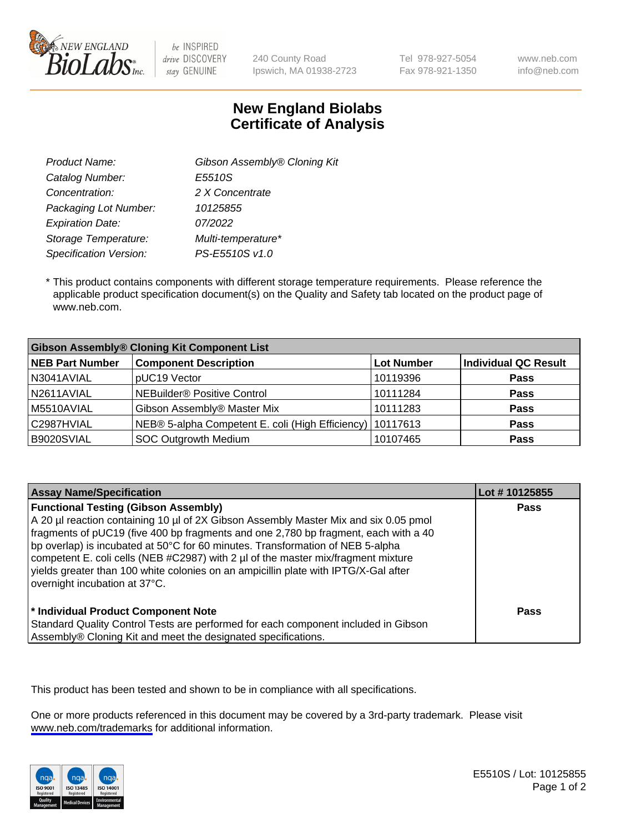

be INSPIRED drive DISCOVERY stay GENUINE

240 County Road Ipswich, MA 01938-2723 Tel 978-927-5054 Fax 978-921-1350 www.neb.com info@neb.com

## **New England Biolabs Certificate of Analysis**

| Gibson Assembly® Cloning Kit |
|------------------------------|
| E5510S                       |
| 2 X Concentrate              |
| 10125855                     |
| 07/2022                      |
| Multi-temperature*           |
| PS-E5510S v1.0               |
|                              |

 \* This product contains components with different storage temperature requirements. Please reference the applicable product specification document(s) on the Quality and Safety tab located on the product page of www.neb.com.

| <b>Gibson Assembly® Cloning Kit Component List</b> |                                                             |                   |                      |  |
|----------------------------------------------------|-------------------------------------------------------------|-------------------|----------------------|--|
| <b>NEB Part Number</b>                             | <b>Component Description</b>                                | <b>Lot Number</b> | Individual QC Result |  |
| N3041AVIAL                                         | pUC19 Vector                                                | 10119396          | <b>Pass</b>          |  |
| N2611AVIAL                                         | <b>NEBuilder<sup>®</sup></b> Positive Control               | 10111284          | <b>Pass</b>          |  |
| M5510AVIAL                                         | Gibson Assembly® Master Mix                                 | 10111283          | <b>Pass</b>          |  |
| C2987HVIAL                                         | NEB® 5-alpha Competent E. coli (High Efficiency)   10117613 |                   | <b>Pass</b>          |  |
| B9020SVIAL                                         | <b>SOC Outgrowth Medium</b>                                 | 10107465          | <b>Pass</b>          |  |

| <b>Assay Name/Specification</b>                                                                                                                                                                                                                                                                                                                                                                                                                                                                                           | Lot #10125855 |
|---------------------------------------------------------------------------------------------------------------------------------------------------------------------------------------------------------------------------------------------------------------------------------------------------------------------------------------------------------------------------------------------------------------------------------------------------------------------------------------------------------------------------|---------------|
| <b>Functional Testing (Gibson Assembly)</b><br>A 20 µl reaction containing 10 µl of 2X Gibson Assembly Master Mix and six 0.05 pmol<br>fragments of pUC19 (five 400 bp fragments and one 2,780 bp fragment, each with a 40<br>bp overlap) is incubated at 50°C for 60 minutes. Transformation of NEB 5-alpha<br>competent E. coli cells (NEB #C2987) with 2 µl of the master mix/fragment mixture<br>yields greater than 100 white colonies on an ampicillin plate with IPTG/X-Gal after<br>overnight incubation at 37°C. | Pass          |
| <sup>*</sup> Individual Product Component Note<br>Standard Quality Control Tests are performed for each component included in Gibson<br>Assembly® Cloning Kit and meet the designated specifications.                                                                                                                                                                                                                                                                                                                     | Pass          |

This product has been tested and shown to be in compliance with all specifications.

One or more products referenced in this document may be covered by a 3rd-party trademark. Please visit <www.neb.com/trademarks>for additional information.